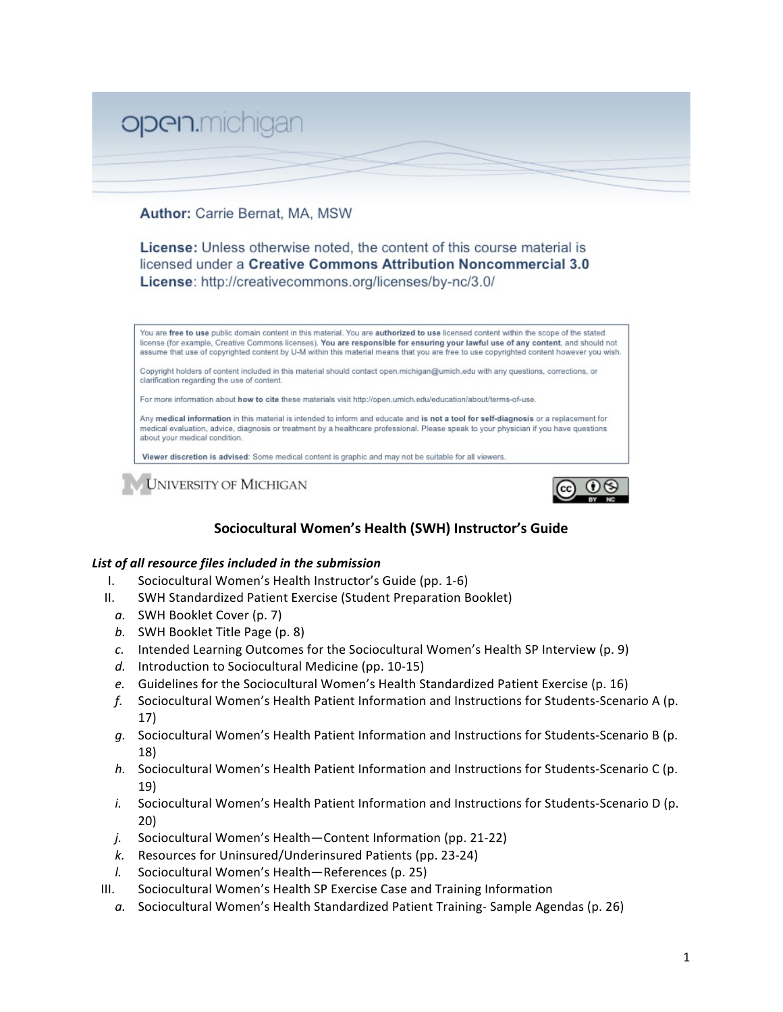

# Author: Carrie Bernat, MA, MSW

License: Unless otherwise noted, the content of this course material is licensed under a Creative Commons Attribution Noncommercial 3.0 License: http://creativecommons.org/licenses/by-nc/3.0/



**UNIVERSITY OF MICHIGAN** 



# **Sociocultural Women's Health (SWH) Instructor's Guide**

#### *List of all resource files included in the submission*

- I. Sociocultural Women's Health Instructor's Guide (pp. 1‐6)
- II. SWH Standardized Patient Exercise (Student Preparation Booklet)
	- *a.* SWH Booklet Cover (p. 7)
	- *b.* SWH Booklet Title Page (p. 8)
	- *c.* Intended Learning Outcomes for the Sociocultural Women's Health SP Interview (p. 9)
	- *d.* Introduction to Sociocultural Medicine (pp. 10‐15)
	- *e.* Guidelines for the Sociocultural Women's Health Standardized Patient Exercise (p. 16)
	- *f.* Sociocultural Women's Health Patient Information and Instructions for Students‐Scenario A (p. 17)
	- *g.* Sociocultural Women's Health Patient Information and Instructions for Students‐Scenario B (p. 18)
	- *h.* Sociocultural Women's Health Patient Information and Instructions for Students‐Scenario C (p. 19)
	- *i.* Sociocultural Women's Health Patient Information and Instructions for Students‐Scenario D (p. 20)
	- *j.* Sociocultural Women's Health—Content Information (pp. 21‐22)
	- *k.* Resources for Uninsured/Underinsured Patients (pp. 23‐24)
	- *l.* Sociocultural Women's Health—References (p. 25)
- III. Sociocultural Women's Health SP Exercise Case and Training Information
	- a. Sociocultural Women's Health Standardized Patient Training-Sample Agendas (p. 26)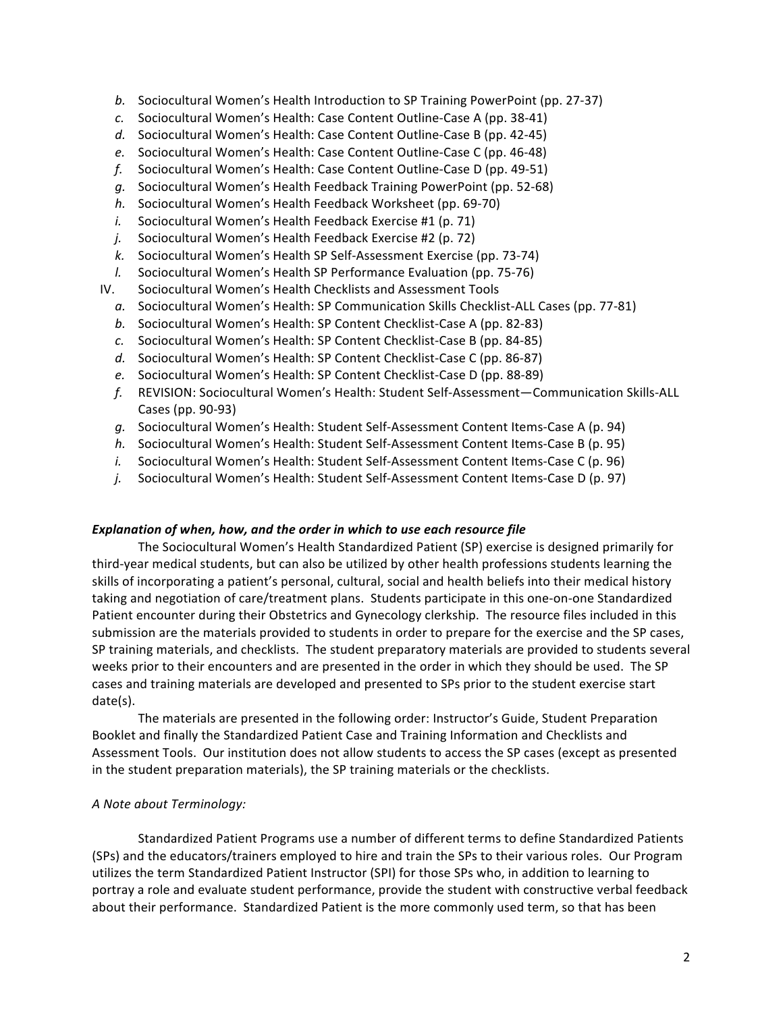- *b.* Sociocultural Women's Health Introduction to SP Training PowerPoint (pp. 27‐37)
- *c.* Sociocultural Women's Health: Case Content Outline‐Case A (pp. 38‐41)
- *d.* Sociocultural Women's Health: Case Content Outline‐Case B (pp. 42‐45)
- *e.* Sociocultural Women's Health: Case Content Outline‐Case C (pp. 46‐48)
- *f.* Sociocultural Women's Health: Case Content Outline‐Case D (pp. 49‐51)
- *g.* Sociocultural Women's Health Feedback Training PowerPoint (pp. 52‐68)
- *h.* Sociocultural Women's Health Feedback Worksheet (pp. 69‐70)
- *i.* Sociocultural Women's Health Feedback Exercise #1 (p. 71)
- *j.* Sociocultural Women's Health Feedback Exercise #2 (p. 72)
- *k.* Sociocultural Women's Health SP Self‐Assessment Exercise (pp. 73‐74)
- *l.* Sociocultural Women's Health SP Performance Evaluation (pp. 75‐76)
- IV. Sociocultural Women's Health Checklists and Assessment Tools
	- *a.* Sociocultural Women's Health: SP Communication Skills Checklist‐ALL Cases (pp. 77‐81)
	- *b.* Sociocultural Women's Health: SP Content Checklist‐Case A (pp. 82‐83)
	- *c.* Sociocultural Women's Health: SP Content Checklist‐Case B (pp. 84‐85)
	- *d.* Sociocultural Women's Health: SP Content Checklist‐Case C (pp. 86‐87)
	- *e.* Sociocultural Women's Health: SP Content Checklist‐Case D (pp. 88‐89)
	- *f.* REVISION: Sociocultural Women's Health: Student Self‐Assessment—Communication Skills‐ALL Cases (pp. 90‐93)
	- *g.* Sociocultural Women's Health: Student Self‐Assessment Content Items‐Case A (p. 94)
	- *h.* Sociocultural Women's Health: Student Self‐Assessment Content Items‐Case B (p. 95)
	- *i.* Sociocultural Women's Health: Student Self‐Assessment Content Items‐Case C (p. 96)
	- *j.* Sociocultural Women's Health: Student Self‐Assessment Content Items‐Case D (p. 97)

#### *Explanation of when, how, and the order in which to use each resource file*

The Sociocultural Women's Health Standardized Patient (SP) exercise is designed primarily for third‐year medical students, but can also be utilized by other health professions students learning the skills of incorporating a patient's personal, cultural, social and health beliefs into their medical history taking and negotiation of care/treatment plans. Students participate in this one‐on‐one Standardized Patient encounter during their Obstetrics and Gynecology clerkship. The resource files included in this submission are the materials provided to students in order to prepare for the exercise and the SP cases, SP training materials, and checklists. The student preparatory materials are provided to students several weeks prior to their encounters and are presented in the order in which they should be used. The SP cases and training materials are developed and presented to SPs prior to the student exercise start date(s).

The materials are presented in the following order: Instructor's Guide, Student Preparation Booklet and finally the Standardized Patient Case and Training Information and Checklists and Assessment Tools. Our institution does not allow students to access the SP cases (except as presented in the student preparation materials), the SP training materials or the checklists.

#### *A Note about Terminology:*

Standardized Patient Programs use a number of different terms to define Standardized Patients (SPs) and the educators/trainers employed to hire and train the SPs to their various roles. Our Program utilizes the term Standardized Patient Instructor (SPI) for those SPs who, in addition to learning to portray a role and evaluate student performance, provide the student with constructive verbal feedback about their performance. Standardized Patient is the more commonly used term, so that has been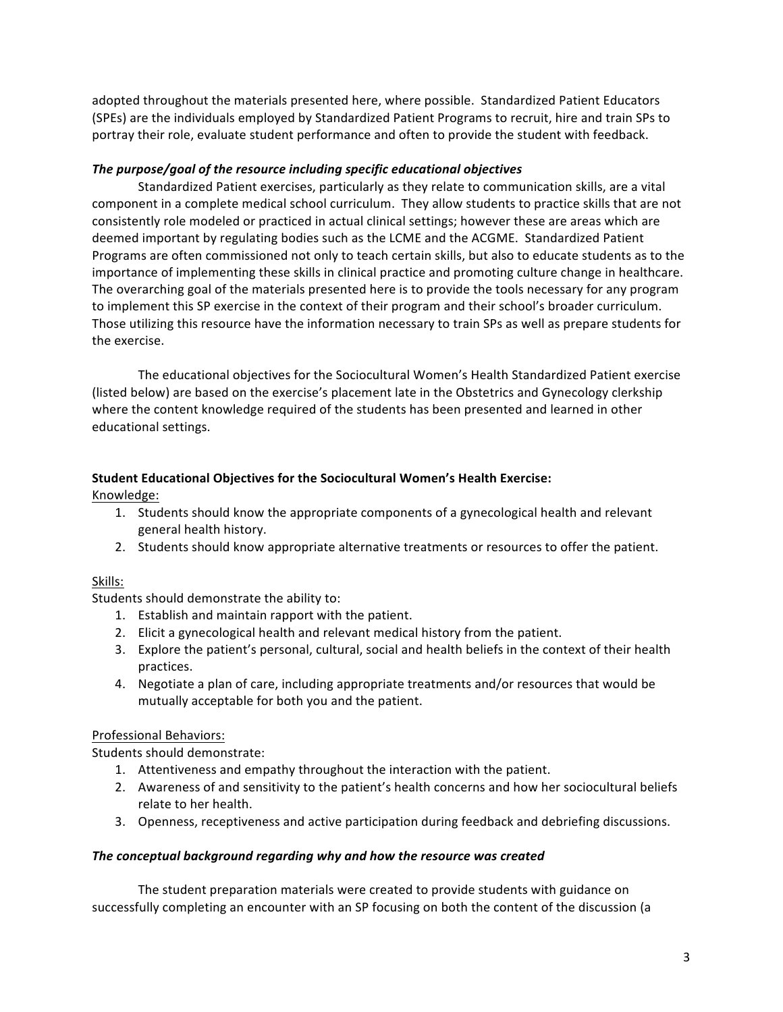adopted throughout the materials presented here, where possible. Standardized Patient Educators (SPEs) are the individuals employed by Standardized Patient Programs to recruit, hire and train SPs to portray their role, evaluate student performance and often to provide the student with feedback.

#### *The purpose/goal of the resource including specific educational objectives*

Standardized Patient exercises, particularly as they relate to communication skills, are a vital component in a complete medical school curriculum. They allow students to practice skills that are not consistently role modeled or practiced in actual clinical settings; however these are areas which are deemed important by regulating bodies such as the LCME and the ACGME. Standardized Patient Programs are often commissioned not only to teach certain skills, but also to educate students as to the importance of implementing these skills in clinical practice and promoting culture change in healthcare. The overarching goal of the materials presented here is to provide the tools necessary for any program to implement this SP exercise in the context of their program and their school's broader curriculum. Those utilizing this resource have the information necessary to train SPs as well as prepare students for the exercise.

The educational objectives for the Sociocultural Women's Health Standardized Patient exercise (listed below) are based on the exercise's placement late in the Obstetrics and Gynecology clerkship where the content knowledge required of the students has been presented and learned in other educational settings.

# **Student Educational Objectives for the Sociocultural Women's Health Exercise:**

Knowledge:

- 1. Students should know the appropriate components of a gynecological health and relevant general health history.
- 2. Students should know appropriate alternative treatments or resources to offer the patient.

#### Skills:

Students should demonstrate the ability to:

- 1. Establish and maintain rapport with the patient.
- 2. Elicit a gynecological health and relevant medical history from the patient.
- 3. Explore the patient's personal, cultural, social and health beliefs in the context of their health practices.
- 4. Negotiate a plan of care, including appropriate treatments and/or resources that would be mutually acceptable for both you and the patient.

# Professional Behaviors:

Students should demonstrate:

- 1. Attentiveness and empathy throughout the interaction with the patient.
- 2. Awareness of and sensitivity to the patient's health concerns and how her sociocultural beliefs relate to her health.
- 3. Openness, receptiveness and active participation during feedback and debriefing discussions.

#### *The conceptual background regarding why and how the resource was created*

The student preparation materials were created to provide students with guidance on successfully completing an encounter with an SP focusing on both the content of the discussion (a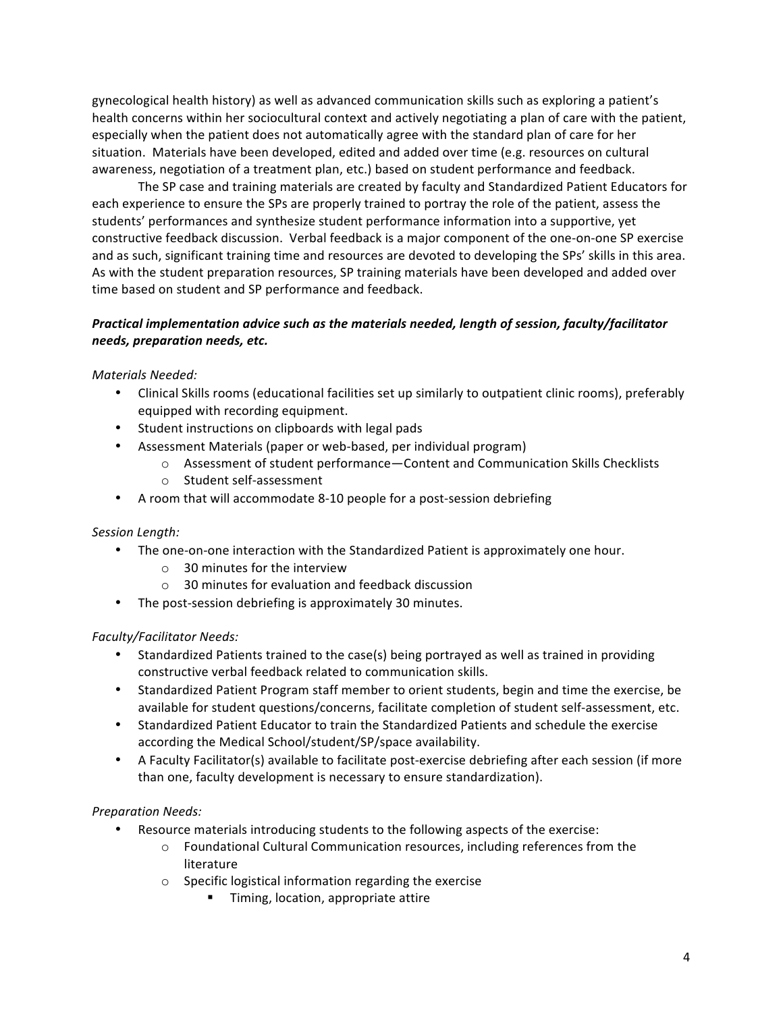gynecological health history) as well as advanced communication skills such as exploring a patient's health concerns within her sociocultural context and actively negotiating a plan of care with the patient, especially when the patient does not automatically agree with the standard plan of care for her situation. Materials have been developed, edited and added over time (e.g. resources on cultural awareness, negotiation of a treatment plan, etc.) based on student performance and feedback.

The SP case and training materials are created by faculty and Standardized Patient Educators for each experience to ensure the SPs are properly trained to portray the role of the patient, assess the students' performances and synthesize student performance information into a supportive, yet constructive feedback discussion. Verbal feedback is a major component of the one‐on‐one SP exercise and as such, significant training time and resources are devoted to developing the SPs' skills in this area. As with the student preparation resources, SP training materials have been developed and added over time based on student and SP performance and feedback.

# *Practical implementation advice such as the materials needed, length of session, faculty/facilitator needs, preparation needs, etc.*

# *Materials Needed:*

- Clinical Skills rooms (educational facilities set up similarly to outpatient clinic rooms), preferably equipped with recording equipment.
- Student instructions on clipboards with legal pads
- Assessment Materials (paper or web‐based, per individual program)
	- o Assessment of student performance—Content and Communication Skills Checklists
	- o Student self‐assessment
- A room that will accommodate 8-10 people for a post-session debriefing

#### *Session Length:*

- The one-on-one interaction with the Standardized Patient is approximately one hour.
	- o 30 minutes for the interview
	- o 30 minutes for evaluation and feedback discussion
- The post-session debriefing is approximately 30 minutes.

#### *Faculty/Facilitator Needs:*

- Standardized Patients trained to the case(s) being portrayed as well as trained in providing constructive verbal feedback related to communication skills.
- Standardized Patient Program staff member to orient students, begin and time the exercise, be available for student questions/concerns, facilitate completion of student self‐assessment, etc.
- Standardized Patient Educator to train the Standardized Patients and schedule the exercise according the Medical School/student/SP/space availability.
- A Faculty Facilitator(s) available to facilitate post-exercise debriefing after each session (if more than one, faculty development is necessary to ensure standardization).

#### *Preparation Needs:*

- Resource materials introducing students to the following aspects of the exercise:
	- o Foundational Cultural Communication resources, including references from the literature
	- o Specific logistical information regarding the exercise
		- **Timing, location, appropriate attire**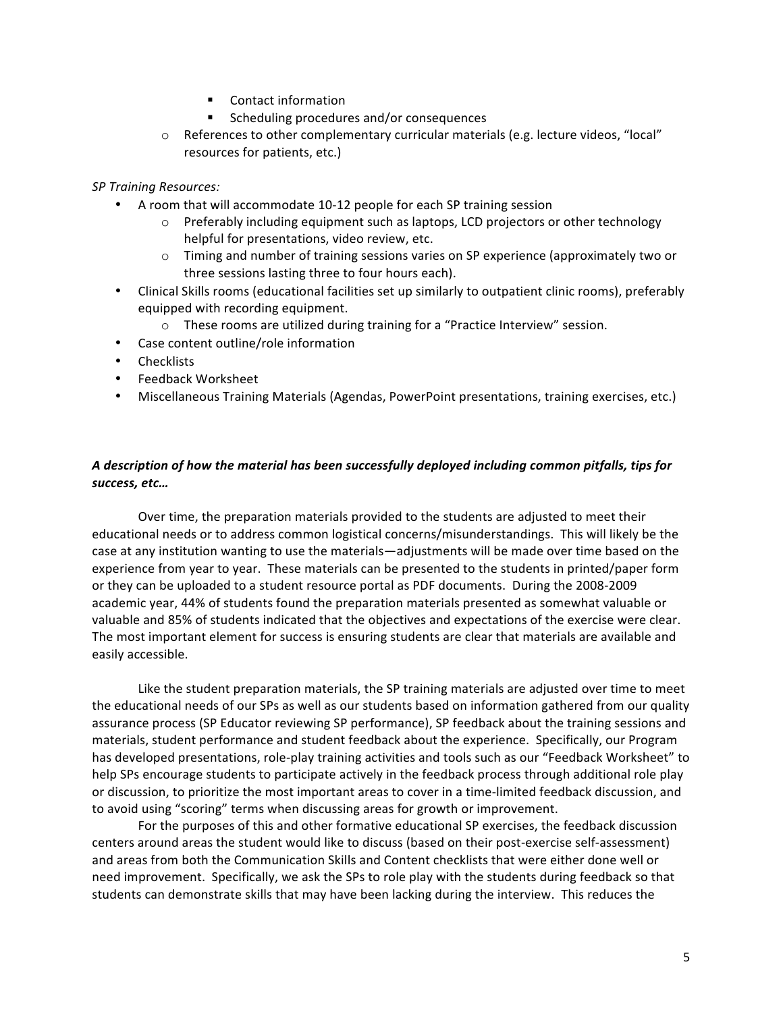- **•** Contact information
- Scheduling procedures and/or consequences
- $\circ$  References to other complementary curricular materials (e.g. lecture videos, "local" resources for patients, etc.)

#### *SP Training Resources:*

- A room that will accommodate 10-12 people for each SP training session
	- $\circ$  Preferably including equipment such as laptops, LCD projectors or other technology helpful for presentations, video review, etc.
	- o Timing and number of training sessions varies on SP experience (approximately two or three sessions lasting three to four hours each).
- Clinical Skills rooms (educational facilities set up similarly to outpatient clinic rooms), preferably equipped with recording equipment.
	- $\circ$  These rooms are utilized during training for a "Practice Interview" session.
- Case content outline/role information
- Checklists
- Feedback Worksheet
- Miscellaneous Training Materials (Agendas, PowerPoint presentations, training exercises, etc.)

#### *A description of how the material has been successfully deployed including common pitfalls, tips for success, etc…*

Over time, the preparation materials provided to the students are adjusted to meet their educational needs or to address common logistical concerns/misunderstandings. This will likely be the case at any institution wanting to use the materials—adjustments will be made over time based on the experience from year to year. These materials can be presented to the students in printed/paper form or they can be uploaded to a student resource portal as PDF documents. During the 2008‐2009 academic year, 44% of students found the preparation materials presented as somewhat valuable or valuable and 85% of students indicated that the objectives and expectations of the exercise were clear. The most important element for success is ensuring students are clear that materials are available and easily accessible.

Like the student preparation materials, the SP training materials are adjusted over time to meet the educational needs of our SPs as well as our students based on information gathered from our quality assurance process (SP Educator reviewing SP performance), SP feedback about the training sessions and materials, student performance and student feedback about the experience. Specifically, our Program has developed presentations, role-play training activities and tools such as our "Feedback Worksheet" to help SPs encourage students to participate actively in the feedback process through additional role play or discussion, to prioritize the most important areas to cover in a time‐limited feedback discussion, and to avoid using "scoring" terms when discussing areas for growth or improvement.

For the purposes of this and other formative educational SP exercises, the feedback discussion centers around areas the student would like to discuss (based on their post‐exercise self‐assessment) and areas from both the Communication Skills and Content checklists that were either done well or need improvement. Specifically, we ask the SPs to role play with the students during feedback so that students can demonstrate skills that may have been lacking during the interview. This reduces the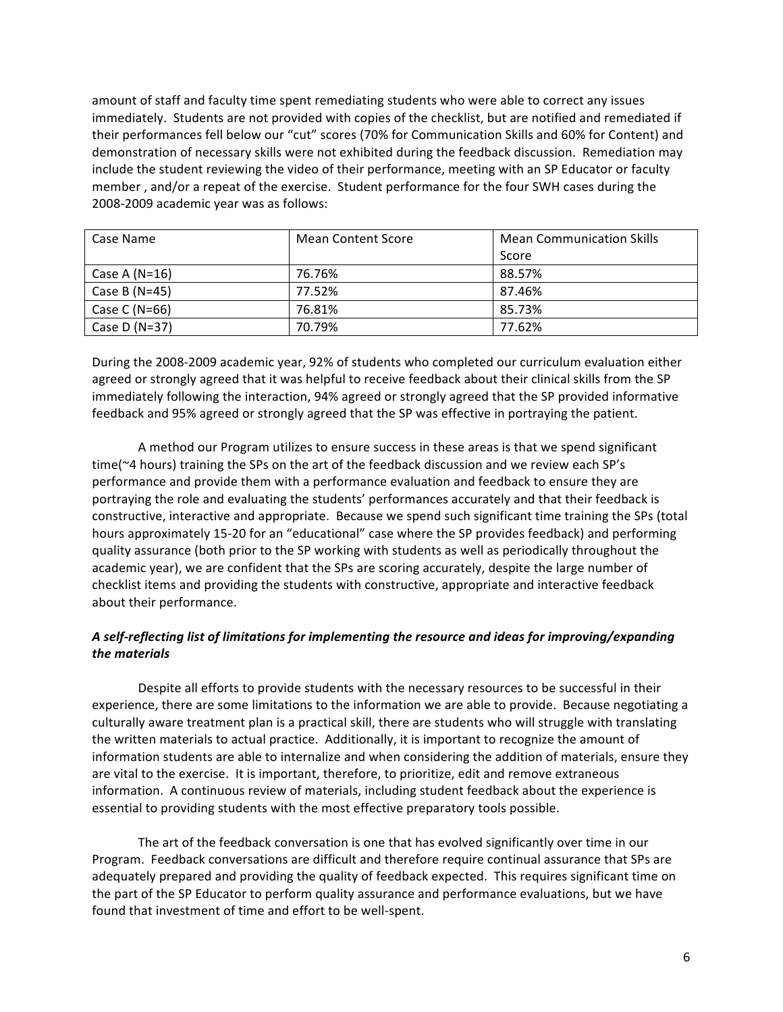amount of staff and faculty time spent remediating students who were able to correct any issues immediately. Students are not provided with copies of the checklist, but are notified and remediated if their performances fell below our "cut" scores (70% for Communication Skills and 60% for Content) and demonstration of necessary skills were not exhibited during the feedback discussion. Remediation may include the student reviewing the video of their performance, meeting with an SP Educator or faculty member , and/or a repeat of the exercise. Student performance for the four SWH cases during the 2008‐2009 academic year was as follows:

| Case Name       | Mean Content Score | <b>Mean Communication Skills</b> |
|-----------------|--------------------|----------------------------------|
|                 |                    | Score                            |
| Case A $(N=16)$ | 76.76%             | 88.57%                           |
| Case B $(N=45)$ | 77.52%             | 87.46%                           |
| Case C (N=66)   | 76.81%             | 85.73%                           |
| Case D $(N=37)$ | 70.79%             | 77.62%                           |

During the 2008‐2009 academic year, 92% of students who completed our curriculum evaluation either agreed or strongly agreed that it was helpful to receive feedback about their clinical skills from the SP immediately following the interaction, 94% agreed or strongly agreed that the SP provided informative feedback and 95% agreed or strongly agreed that the SP was effective in portraying the patient.

A method our Program utilizes to ensure success in these areas is that we spend significant time(~4 hours) training the SPs on the art of the feedback discussion and we review each SP's performance and provide them with a performance evaluation and feedback to ensure they are portraying the role and evaluating the students' performances accurately and that their feedback is constructive, interactive and appropriate. Because we spend such significant time training the SPs (total hours approximately 15‐20 for an "educational" case where the SP provides feedback) and performing quality assurance (both prior to the SP working with students as well as periodically throughout the academic year), we are confident that the SPs are scoring accurately, despite the large number of checklist items and providing the students with constructive, appropriate and interactive feedback about their performance.

# *A self‐reflecting list of limitations for implementing the resource and ideas for improving/expanding the materials*

Despite all efforts to provide students with the necessary resources to be successful in their experience, there are some limitations to the information we are able to provide. Because negotiating a culturally aware treatment plan is a practical skill, there are students who will struggle with translating the written materials to actual practice. Additionally, it is important to recognize the amount of information students are able to internalize and when considering the addition of materials, ensure they are vital to the exercise. It is important, therefore, to prioritize, edit and remove extraneous information. A continuous review of materials, including student feedback about the experience is essential to providing students with the most effective preparatory tools possible.

The art of the feedback conversation is one that has evolved significantly over time in our Program. Feedback conversations are difficult and therefore require continual assurance that SPs are adequately prepared and providing the quality of feedback expected. This requires significant time on the part of the SP Educator to perform quality assurance and performance evaluations, but we have found that investment of time and effort to be well‐spent.